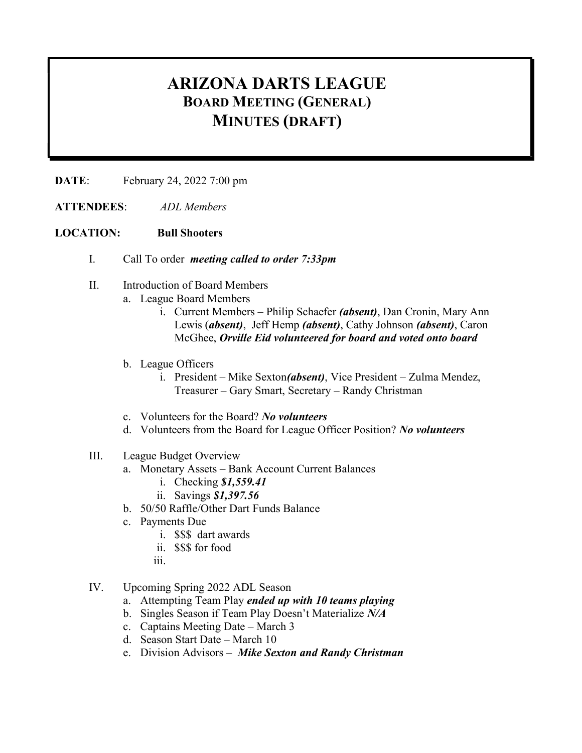## ARIZONA DARTS LEAGUE BOARD MEETING (GENERAL) MINUTES (DRAFT)

DATE: February 24, 2022 7:00 pm

ATTENDEES: ADL Members

## LOCATION: Bull Shooters

- I. Call To order meeting called to order 7:33pm
- II. Introduction of Board Members
	- a. League Board Members
		- i. Current Members Philip Schaefer (absent), Dan Cronin, Mary Ann Lewis (absent), Jeff Hemp (absent), Cathy Johnson (absent), Caron McGhee, Orville Eid volunteered for board and voted onto board
	- b. League Officers
		- i. President Mike Sexton(absent), Vice President Zulma Mendez, Treasurer – Gary Smart, Secretary – Randy Christman
	- c. Volunteers for the Board? No volunteers
	- d. Volunteers from the Board for League Officer Position? No volunteers
- III. League Budget Overview
	- a. Monetary Assets Bank Account Current Balances
		- i. Checking \$1,559.41
		- ii. Savings \$1,397.56
	- b. 50/50 Raffle/Other Dart Funds Balance
	- c. Payments Due
		- i. \$\$\$ dart awards
		- ii. \$\$\$ for food
		- iii.
- IV. Upcoming Spring 2022 ADL Season
	- a. Attempting Team Play ended up with 10 teams playing
	- b. Singles Season if Team Play Doesn't Materialize N/A
	- c. Captains Meeting Date March 3
	- d. Season Start Date March 10
	- e. Division Advisors Mike Sexton and Randy Christman